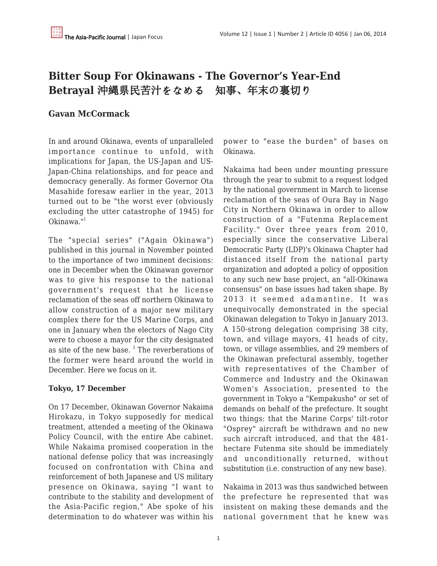# **Bitter Soup For Okinawans - The Governor's Year-End Betrayal** 沖縄県民苦汁をなめる 知事、年末の裏切り

# **Gavan McCormack**

In and around Okinawa, events of unparalleled importance continue to unfold, with implications for Japan, the US-Japan and US-Japan-China relationships, and for peace and democracy generally. As former Governor Ota Masahide foresaw earlier in the year, 2013 turned out to be "the worst ever (obviously excluding the utter catastrophe of 1945) for  $Ok$ inawa." $1$ 

The "special series" ("Again Okinawa") published in this journal in November pointed to the importance of two imminent decisions: one in December when the Okinawan governor was to give his response to the national government's request that he license reclamation of the seas off northern Okinawa to allow construction of a major new military complex there for the US Marine Corps, and one in January when the electors of Nago City were to choose a mayor for the city designated as site of the new base. <sup>2</sup> The reverberations of the former were heard around the world in December. Here we focus on it.

# **Tokyo, 17 December**

On 17 December, Okinawan Governor Nakaima Hirokazu, in Tokyo supposedly for medical treatment, attended a meeting of the Okinawa Policy Council, with the entire Abe cabinet. While Nakaima promised cooperation in the national defense policy that was increasingly focused on confrontation with China and reinforcement of both Japanese and US military presence on Okinawa, saying "I want to contribute to the stability and development of the Asia-Pacific region," Abe spoke of his determination to do whatever was within his power to "ease the burden" of bases on Okinawa.

Nakaima had been under mounting pressure through the year to submit to a request lodged by the national government in March to license reclamation of the seas of Oura Bay in Nago City in Northern Okinawa in order to allow construction of a "Futenma Replacement Facility." Over three years from 2010, especially since the conservative Liberal Democratic Party (LDP)'s Okinawa Chapter had distanced itself from the national party organization and adopted a policy of opposition to any such new base project, an "all-Okinawa consensus" on base issues had taken shape. By 2013 it seemed adamantine. It was unequivocally demonstrated in the special Okinawan delegation to Tokyo in January 2013. A 150-strong delegation comprising 38 city, town, and village mayors, 41 heads of city, town, or village assemblies, and 29 members of the Okinawan prefectural assembly, together with representatives of the Chamber of Commerce and Industry and the Okinawan Women's Association, presented to the government in Tokyo a "Kempakusho" or set of demands on behalf of the prefecture. It sought two things: that the Marine Corps' tilt-rotor "Osprey" aircraft be withdrawn and no new such aircraft introduced, and that the 481 hectare Futenma site should be immediately and unconditionally returned, without substitution (i.e. construction of any new base).

Nakaima in 2013 was thus sandwiched between the prefecture he represented that was insistent on making these demands and the national government that he knew was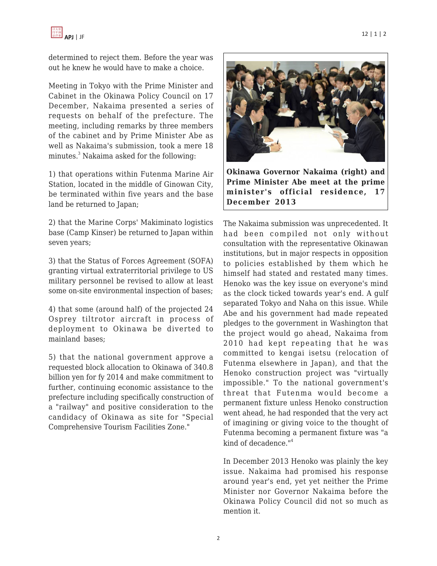

determined to reject them. Before the year was out he knew he would have to make a choice.

Meeting in Tokyo with the Prime Minister and Cabinet in the Okinawa Policy Council on 17 December, Nakaima presented a series of requests on behalf of the prefecture. The meeting, including remarks by three members of the cabinet and by Prime Minister Abe as well as Nakaima's submission, took a mere 18 minutes.<sup>3</sup> Nakaima asked for the following:

1) that operations within Futenma Marine Air Station, located in the middle of Ginowan City, be terminated within five years and the base land be returned to Japan;

2) that the Marine Corps' Makiminato logistics base (Camp Kinser) be returned to Japan within seven years;

3) that the Status of Forces Agreement (SOFA) granting virtual extraterritorial privilege to US military personnel be revised to allow at least some on-site environmental inspection of bases;

4) that some (around half) of the projected 24 Osprey tiltrotor aircraft in process of deployment to Okinawa be diverted to mainland bases;

5) that the national government approve a requested block allocation to Okinawa of 340.8 billion yen for fy 2014 and make commitment to further, continuing economic assistance to the prefecture including specifically construction of a "railway" and positive consideration to the candidacy of Okinawa as site for "Special Comprehensive Tourism Facilities Zone."



**Okinawa Governor Nakaima (right) and Prime Minister Abe meet at the prime minister's official residence, 17 December 2013**

The Nakaima submission was unprecedented. It had been compiled not only without consultation with the representative Okinawan institutions, but in major respects in opposition to policies established by them which he himself had stated and restated many times. Henoko was the key issue on everyone's mind as the clock ticked towards year's end. A gulf separated Tokyo and Naha on this issue. While Abe and his government had made repeated pledges to the government in Washington that the project would go ahead, Nakaima from 2010 had kept repeating that he was committed to kengai isetsu (relocation of Futenma elsewhere in Japan), and that the Henoko construction project was "virtually impossible." To the national government's threat that Futenma would become a permanent fixture unless Henoko construction went ahead, he had responded that the very act of imagining or giving voice to the thought of Futenma becoming a permanent fixture was "a kind of decadence.<sup>"4</sup>

In December 2013 Henoko was plainly the key issue. Nakaima had promised his response around year's end, yet yet neither the Prime Minister nor Governor Nakaima before the Okinawa Policy Council did not so much as mention it.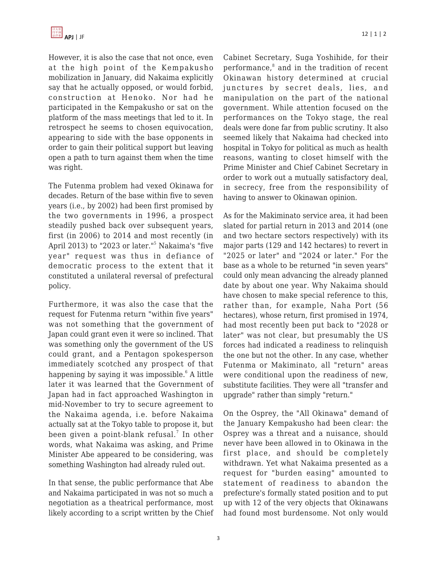However, it is also the case that not once, even at the high point of the Kempakusho mobilization in January, did Nakaima explicitly say that he actually opposed, or would forbid, construction at Henoko. Nor had he participated in the Kempakusho or sat on the platform of the mass meetings that led to it. In retrospect he seems to chosen equivocation, appearing to side with the base opponents in order to gain their political support but leaving open a path to turn against them when the time was right.

The Futenma problem had vexed Okinawa for decades. Return of the base within five to seven years (i.e., by 2002) had been first promised by the two governments in 1996, a prospect steadily pushed back over subsequent years, first (in 2006) to 2014 and most recently (in April 2013) to "2023 or later."<sup>5</sup> Nakaima's "five year" request was thus in defiance of democratic process to the extent that it constituted a unilateral reversal of prefectural policy.

Furthermore, it was also the case that the request for Futenma return "within five years" was not something that the government of Japan could grant even it were so inclined. That was something only the government of the US could grant, and a Pentagon spokesperson immediately scotched any prospect of that happening by saying it was impossible.<sup>6</sup> A little later it was learned that the Government of Japan had in fact approached Washington in mid-November to try to secure agreement to the Nakaima agenda, i.e. before Nakaima actually sat at the Tokyo table to propose it, but been given a point-blank refusal. $^7$  In other words, what Nakaima was asking, and Prime Minister Abe appeared to be considering, was something Washington had already ruled out.

In that sense, the public performance that Abe and Nakaima participated in was not so much a negotiation as a theatrical performance, most likely according to a script written by the Chief Cabinet Secretary, Suga Yoshihide, for their performance,<sup>8</sup> and in the tradition of recent Okinawan history determined at crucial junctures by secret deals, lies, and manipulation on the part of the national government. While attention focused on the performances on the Tokyo stage, the real deals were done far from public scrutiny. It also seemed likely that Nakaima had checked into hospital in Tokyo for political as much as health reasons, wanting to closet himself with the Prime Minister and Chief Cabinet Secretary in order to work out a mutually satisfactory deal, in secrecy, free from the responsibility of having to answer to Okinawan opinion.

As for the Makiminato service area, it had been slated for partial return in 2013 and 2014 (one and two hectare sectors respectively) with its major parts (129 and 142 hectares) to revert in "2025 or later" and "2024 or later." For the base as a whole to be returned "in seven years" could only mean advancing the already planned date by about one year. Why Nakaima should have chosen to make special reference to this, rather than, for example, Naha Port (56 hectares), whose return, first promised in 1974, had most recently been put back to "2028 or later" was not clear, but presumably the US forces had indicated a readiness to relinquish the one but not the other. In any case, whether Futenma or Makiminato, all "return" areas were conditional upon the readiness of new, substitute facilities. They were all "transfer and upgrade" rather than simply "return."

On the Osprey, the "All Okinawa" demand of the January Kempakusho had been clear: the Osprey was a threat and a nuisance, should never have been allowed in to Okinawa in the first place, and should be completely withdrawn. Yet what Nakaima presented as a request for "burden easing" amounted to statement of readiness to abandon the prefecture's formally stated position and to put up with 12 of the very objects that Okinawans had found most burdensome. Not only would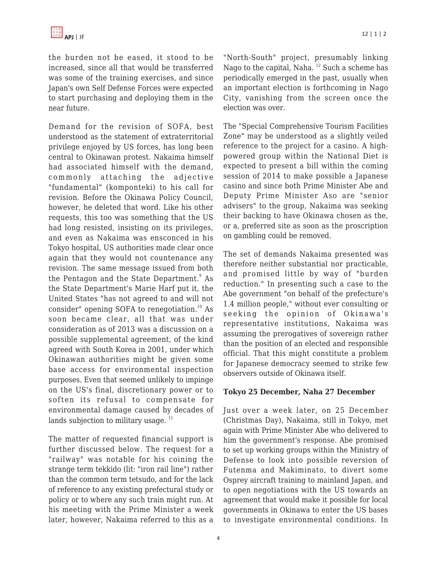the burden not be eased, it stood to be increased, since all that would be transferred was some of the training exercises, and since Japan's own Self Defense Forces were expected to start purchasing and deploying them in the near future.

Demand for the revision of SOFA, best understood as the statement of extraterritorial privilege enjoyed by US forces, has long been central to Okinawan protest. Nakaima himself had associated himself with the demand, commonly attaching the adjective "fundamental" (komponteki) to his call for revision. Before the Okinawa Policy Council, however, he deleted that word. Like his other requests, this too was something that the US had long resisted, insisting on its privileges, and even as Nakaima was ensconced in his Tokyo hospital, US authorities made clear once again that they would not countenance any revision. The same message issued from both the Pentagon and the State Department.<sup>9</sup> As the State Department's Marie Harf put it, the United States "has not agreed to and will not consider" opening SOFA to renegotiation.<sup>10</sup> As soon became clear, all that was under consideration as of 2013 was a discussion on a possible supplemental agreement, of the kind agreed with South Korea in 2001, under which Okinawan authorities might be given some base access for environmental inspection purposes. Even that seemed unlikely to impinge on the US's final, discretionary power or to soften its refusal to compensate for environmental damage caused by decades of lands subjection to military usage.  $11$ 

The matter of requested financial support is further discussed below. The request for a "railway" was notable for his coining the strange term tekkido (lit: "iron rail line") rather than the common term tetsudo, and for the lack of reference to any existing prefectural study or policy or to where any such train might run. At his meeting with the Prime Minister a week later, however, Nakaima referred to this as a "North-South" project, presumably linking Nago to the capital, Naha. <sup>12</sup> Such a scheme has periodically emerged in the past, usually when an important election is forthcoming in Nago City, vanishing from the screen once the election was over.

The "Special Comprehensive Tourism Facilities Zone" may be understood as a slightly veiled reference to the project for a casino. A highpowered group within the National Diet is expected to present a bill within the coming session of 2014 to make possible a Japanese casino and since both Prime Minister Abe and Deputy Prime Minister Aso are "senior advisers" to the group, Nakaima was seeking their backing to have Okinawa chosen as the, or a, preferred site as soon as the proscription on gambling could be removed.

The set of demands Nakaima presented was therefore neither substantial nor practicable, and promised little by way of "burden reduction." In presenting such a case to the Abe government "on behalf of the prefecture's 1.4 million people," without ever consulting or seeking the opinion of Okinawa's representative institutions, Nakaima was assuming the prerogatives of sovereign rather than the position of an elected and responsible official. That this might constitute a problem for Japanese democracy seemed to strike few observers outside of Okinawa itself.

## **Tokyo 25 December, Naha 27 December**

Just over a week later, on 25 December (Christmas Day), Nakaima, still in Tokyo, met again with Prime Minister Abe who delivered to him the government's response. Abe promised to set up working groups within the Ministry of Defense to look into possible reversion of Futenma and Makiminato, to divert some Osprey aircraft training to mainland Japan, and to open negotiations with the US towards an agreement that would make it possible for local governments in Okinawa to enter the US bases to investigate environmental conditions. In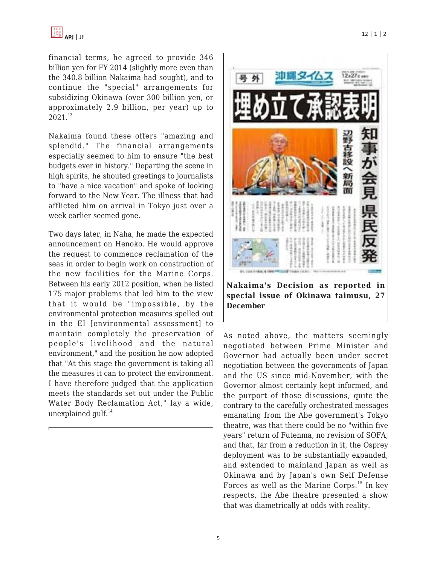financial terms, he agreed to provide 346 billion yen for FY 2014 (slightly more even than the 340.8 billion Nakaima had sought), and to continue the "special" arrangements for subsidizing Okinawa (over 300 billion yen, or approximately 2.9 billion, per year) up to 2021.<sup>13</sup>

Nakaima found these offers "amazing and splendid." The financial arrangements especially seemed to him to ensure "the best budgets ever in history." Departing the scene in high spirits, he shouted greetings to journalists to "have a nice vacation" and spoke of looking forward to the New Year. The illness that had afflicted him on arrival in Tokyo just over a week earlier seemed gone.

Two days later, in Naha, he made the expected announcement on Henoko. He would approve the request to commence reclamation of the seas in order to begin work on construction of the new facilities for the Marine Corps. Between his early 2012 position, when he listed 175 major problems that led him to the view that it would be "impossible, by the environmental protection measures spelled out in the EI [environmental assessment] to maintain completely the preservation of people's livelihood and the natural environment," and the position he now adopted that "At this stage the government is taking all the measures it can to protect the environment. I have therefore judged that the application meets the standards set out under the Public Water Body Reclamation Act," lay a wide, unexplained gulf. $^{14}$ 



As noted above, the matters seemingly negotiated between Prime Minister and Governor had actually been under secret negotiation between the governments of Japan and the US since mid-November, with the Governor almost certainly kept informed, and the purport of those discussions, quite the contrary to the carefully orchestrated messages emanating from the Abe government's Tokyo theatre, was that there could be no "within five years" return of Futenma, no revision of SOFA, and that, far from a reduction in it, the Osprey deployment was to be substantially expanded, and extended to mainland Japan as well as Okinawa and by Japan's own Self Defense Forces as well as the Marine Corps.<sup>15</sup> In key respects, the Abe theatre presented a show that was diametrically at odds with reality.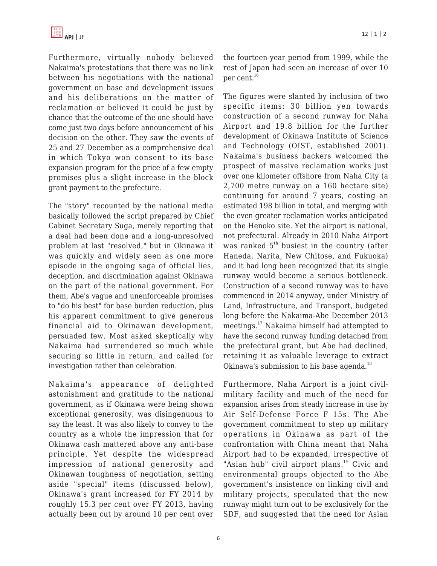Furthermore, virtually nobody believed Nakaima's protestations that there was no link between his negotiations with the national government on base and development issues and his deliberations on the matter of reclamation or believed it could be just by chance that the outcome of the one should have come just two days before announcement of his decision on the other. They saw the events of 25 and 27 December as a comprehensive deal in which Tokyo won consent to its base expansion program for the price of a few empty promises plus a slight increase in the block grant payment to the prefecture.

The "story" recounted by the national media basically followed the script prepared by Chief Cabinet Secretary Suga, merely reporting that a deal had been done and a long-unresolved problem at last "resolved," but in Okinawa it was quickly and widely seen as one more episode in the ongoing saga of official lies, deception, and discrimination against Okinawa on the part of the national government. For them, Abe's vague and unenforceable promises to "do his best" for base burden reduction, plus his apparent commitment to give generous financial aid to Okinawan development, persuaded few. Most asked skeptically why Nakaima had surrendered so much while securing so little in return, and called for investigation rather than celebration.

Nakaima's appearance of delighted astonishment and gratitude to the national government, as if Okinawa were being shown exceptional generosity, was disingenuous to say the least. It was also likely to convey to the country as a whole the impression that for Okinawa cash mattered above any anti-base principle. Yet despite the widespread impression of national generosity and Okinawan toughness of negotiation, setting aside "special" items (discussed below), Okinawa's grant increased for FY 2014 by roughly 15.3 per cent over FY 2013, having actually been cut by around 10 per cent over the fourteen-year period from 1999, while the rest of Japan had seen an increase of over 10 per cent.<sup>16</sup>

The figures were slanted by inclusion of two specific items: 30 billion yen towards construction of a second runway for Naha Airport and 19.8 billion for the further development of Okinawa Institute of Science and Technology (OIST, established 2001). Nakaima's business backers welcomed the prospect of massive reclamation works just over one kilometer offshore from Naha City (a 2,700 metre runway on a 160 hectare site) continuing for around 7 years, costing an estimated 198 billion in total, and merging with the even greater reclamation works anticipated on the Henoko site. Yet the airport is national, not prefectural. Already in 2010 Naha Airport was ranked  $5<sup>th</sup>$  busiest in the country (after Haneda, Narita, New Chitose, and Fukuoka) and it had long been recognized that its single runway would become a serious bottleneck. Construction of a second runway was to have commenced in 2014 anyway, under Ministry of Land, Infrastructure, and Transport, budgeted long before the Nakaima-Abe December 2013 meetings.<sup>17</sup> Nakaima himself had attempted to have the second runway funding detached from the prefectural grant, but Abe had declined, retaining it as valuable leverage to extract Okinawa's submission to his base agenda. $^{18}$ 

Furthermore, Naha Airport is a joint civilmilitary facility and much of the need for expansion arises from steady increase in use by Air Self-Defense Force F 15s. The Abe government commitment to step up military operations in Okinawa as part of the confrontation with China meant that Naha Airport had to be expanded, irrespective of "Asian hub" civil airport plans.<sup>19</sup> Civic and environmental groups objected to the Abe government's insistence on linking civil and military projects, speculated that the new runway might turn out to be exclusively for the SDF, and suggested that the need for Asian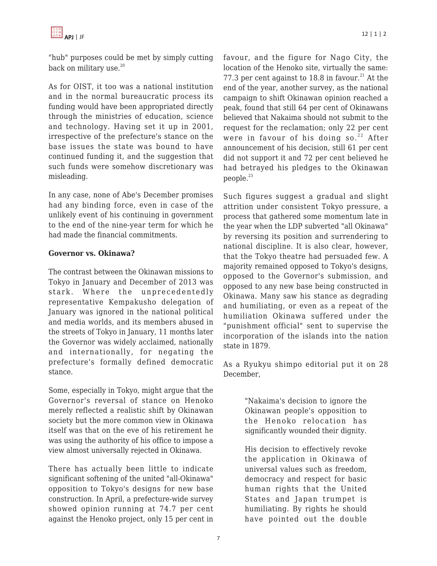

"hub" purposes could be met by simply cutting back on military use.<sup>20</sup>

As for OIST, it too was a national institution and in the normal bureaucratic process its funding would have been appropriated directly through the ministries of education, science and technology. Having set it up in 2001, irrespective of the prefecture's stance on the base issues the state was bound to have continued funding it, and the suggestion that such funds were somehow discretionary was misleading.

In any case, none of Abe's December promises had any binding force, even in case of the unlikely event of his continuing in government to the end of the nine-year term for which he had made the financial commitments.

#### **Governor vs. Okinawa?**

The contrast between the Okinawan missions to Tokyo in January and December of 2013 was stark. Where the unprecedentedly representative Kempakusho delegation of January was ignored in the national political and media worlds, and its members abused in the streets of Tokyo in January, 11 months later the Governor was widely acclaimed, nationally and internationally, for negating the prefecture's formally defined democratic stance.

Some, especially in Tokyo, might argue that the Governor's reversal of stance on Henoko merely reflected a realistic shift by Okinawan society but the more common view in Okinawa itself was that on the eve of his retirement he was using the authority of his office to impose a view almost universally rejected in Okinawa.

There has actually been little to indicate significant softening of the united "all-Okinawa" opposition to Tokyo's designs for new base construction. In April, a prefecture-wide survey showed opinion running at 74.7 per cent against the Henoko project, only 15 per cent in favour, and the figure for Nago City, the location of the Henoko site, virtually the same: 77.3 per cent against to 18.8 in favour.<sup>21</sup> At the end of the year, another survey, as the national campaign to shift Okinawan opinion reached a peak, found that still 64 per cent of Okinawans believed that Nakaima should not submit to the request for the reclamation; only 22 per cent were in favour of his doing so. $22$  After announcement of his decision, still 61 per cent did not support it and 72 per cent believed he had betrayed his pledges to the Okinawan people.<sup>23</sup>

Such figures suggest a gradual and slight attrition under consistent Tokyo pressure, a process that gathered some momentum late in the year when the LDP subverted "all Okinawa" by reversing its position and surrendering to national discipline. It is also clear, however, that the Tokyo theatre had persuaded few. A majority remained opposed to Tokyo's designs, opposed to the Governor's submission, and opposed to any new base being constructed in Okinawa. Many saw his stance as degrading and humiliating, or even as a repeat of the humiliation Okinawa suffered under the "punishment official" sent to supervise the incorporation of the islands into the nation state in 1879.

As a Ryukyu shimpo editorial put it on 28 December,

> "Nakaima's decision to ignore the Okinawan people's opposition to the Henoko relocation has significantly wounded their dignity.

> His decision to effectively revoke the application in Okinawa of universal values such as freedom, democracy and respect for basic human rights that the United States and Japan trumpet is humiliating. By rights he should have pointed out the double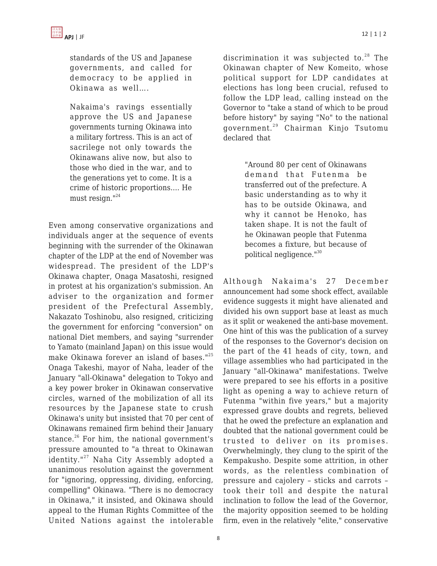standards of the US and Japanese governments, and called for democracy to be applied in Okinawa as well….

Nakaima's ravings essentially approve the US and Japanese governments turning Okinawa into a military fortress. This is an act of sacrilege not only towards the Okinawans alive now, but also to those who died in the war, and to the generations yet to come. It is a crime of historic proportions…. He must resign."24

Even among conservative organizations and individuals anger at the sequence of events beginning with the surrender of the Okinawan chapter of the LDP at the end of November was widespread. The president of the LDP's Okinawa chapter, Onaga Masatoshi, resigned in protest at his organization's submission. An adviser to the organization and former president of the Prefectural Assembly, Nakazato Toshinobu, also resigned, criticizing the government for enforcing "conversion" on national Diet members, and saying "surrender to Yamato (mainland Japan) on this issue would make Okinawa forever an island of bases."<sup>25</sup> Onaga Takeshi, mayor of Naha, leader of the January "all-Okinawa" delegation to Tokyo and a key power broker in Okinawan conservative circles, warned of the mobilization of all its resources by the Japanese state to crush Okinawa's unity but insisted that 70 per cent of Okinawans remained firm behind their January stance. $26$  For him, the national government's pressure amounted to "a threat to Okinawan identity."<sup>27</sup> Naha City Assembly adopted a unanimous resolution against the government for "ignoring, oppressing, dividing, enforcing, compelling" Okinawa. "There is no democracy in Okinawa," it insisted, and Okinawa should appeal to the Human Rights Committee of the United Nations against the intolerable discrimination it was subjected to. $28$  The Okinawan chapter of New Komeito, whose political support for LDP candidates at elections has long been crucial, refused to follow the LDP lead, calling instead on the Governor to "take a stand of which to be proud before history" by saying "No" to the national government.<sup>29</sup> Chairman Kinjo Tsutomu declared that

> "Around 80 per cent of Okinawans demand that Futenma be transferred out of the prefecture. A basic understanding as to why it has to be outside Okinawa, and why it cannot be Henoko, has taken shape. It is not the fault of he Okinawan people that Futenma becomes a fixture, but because of political negligence."<sup>30</sup>

Although Nakaima's 27 December announcement had some shock effect, available evidence suggests it might have alienated and divided his own support base at least as much as it split or weakened the anti-base movement. One hint of this was the publication of a survey of the responses to the Governor's decision on the part of the 41 heads of city, town, and village assemblies who had participated in the January "all-Okinawa" manifestations. Twelve were prepared to see his efforts in a positive light as opening a way to achieve return of Futenma "within five years," but a majority expressed grave doubts and regrets, believed that he owed the prefecture an explanation and doubted that the national government could be trusted to deliver on its promises. Overwhelmingly, they clung to the spirit of the Kempakusho. Despite some attrition, in other words, as the relentless combination of pressure and cajolery – sticks and carrots – took their toll and despite the natural inclination to follow the lead of the Governor, the majority opposition seemed to be holding firm, even in the relatively "elite," conservative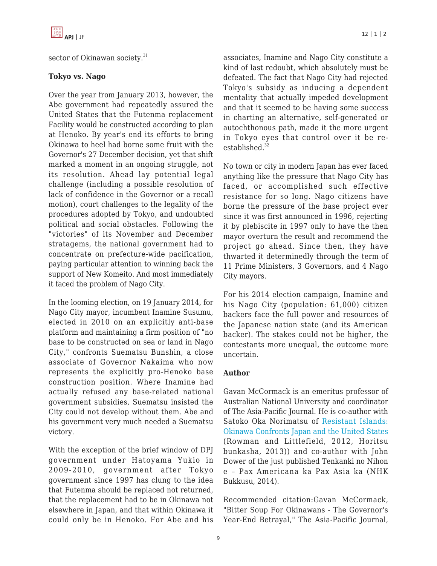

sector of Okinawan society.<sup>31</sup>

## **Tokyo vs. Nago**

Over the year from January 2013, however, the Abe government had repeatedly assured the United States that the Futenma replacement Facility would be constructed according to plan at Henoko. By year's end its efforts to bring Okinawa to heel had borne some fruit with the Governor's 27 December decision, yet that shift marked a moment in an ongoing struggle, not its resolution. Ahead lay potential legal challenge (including a possible resolution of lack of confidence in the Governor or a recall motion), court challenges to the legality of the procedures adopted by Tokyo, and undoubted political and social obstacles. Following the "victories" of its November and December stratagems, the national government had to concentrate on prefecture-wide pacification, paying particular attention to winning back the support of New Komeito. And most immediately it faced the problem of Nago City.

In the looming election, on 19 January 2014, for Nago City mayor, incumbent Inamine Susumu, elected in 2010 on an explicitly anti-base platform and maintaining a firm position of "no base to be constructed on sea or land in Nago City," confronts Suematsu Bunshin, a close associate of Governor Nakaima who now represents the explicitly pro-Henoko base construction position. Where Inamine had actually refused any base-related national government subsidies, Suematsu insisted the City could not develop without them. Abe and his government very much needed a Suematsu victory.

With the exception of the brief window of DPJ government under Hatoyama Yukio in 2009-2010, government after Tokyo government since 1997 has clung to the idea that Futenma should be replaced not returned, that the replacement had to be in Okinawa not elsewhere in Japan, and that within Okinawa it could only be in Henoko. For Abe and his associates, Inamine and Nago City constitute a kind of last redoubt, which absolutely must be defeated. The fact that Nago City had rejected Tokyo's subsidy as inducing a dependent mentality that actually impeded development and that it seemed to be having some success in charting an alternative, self-generated or autochthonous path, made it the more urgent in Tokyo eyes that control over it be reestablished. $32$ 

No town or city in modern Japan has ever faced anything like the pressure that Nago City has faced, or accomplished such effective resistance for so long. Nago citizens have borne the pressure of the base project ever since it was first announced in 1996, rejecting it by plebiscite in 1997 only to have the then mayor overturn the result and recommend the project go ahead. Since then, they have thwarted it determinedly through the term of 11 Prime Ministers, 3 Governors, and 4 Nago City mayors.

For his 2014 election campaign, Inamine and his Nago City (population: 61,000) citizen backers face the full power and resources of the Japanese nation state (and its American backer). The stakes could not be higher, the contestants more unequal, the outcome more uncertain.

## **Author**

Gavan McCormack is an emeritus professor of Australian National University and coordinator of The Asia-Pacific Journal. He is co-author with Satoko Oka Norimatsu of [Resistant Islands:](http://www.amazon.com/dp/1442215623?tag=theasipacjo0b-20) [Okinawa Confronts Japan and the United States](http://www.amazon.com/dp/1442215623?tag=theasipacjo0b-20) (Rowman and Littlefield, 2012, Horitsu bunkasha, 2013)) and co-author with John Dower of the just published Tenkanki no Nihon e – Pax Americana ka Pax Asia ka (NHK Bukkusu, 2014).

Recommended citation:Gavan McCormack, "Bitter Soup For Okinawans - The Governor's Year-End Betrayal," The Asia-Pacific Journal,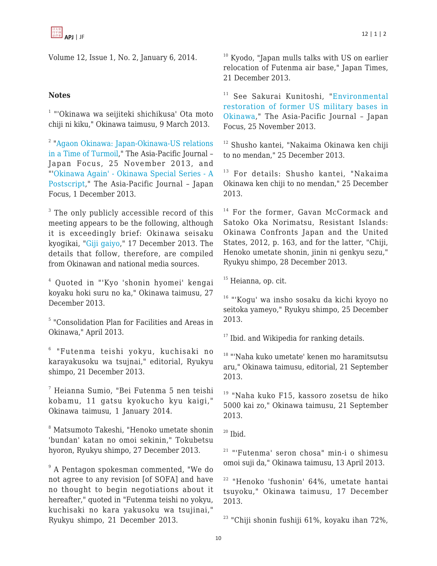Volume 12, Issue 1, No. 2, January 6, 2014.

# **Notes**

<sup>1</sup> "'Okinawa wa seijiteki shichikusa' Ota moto chiji ni kiku," Okinawa taimusu, 9 March 2013.

<sup>2</sup> ["Agaon Okinawa: Japan-Okinawa-US relations](https://apjjf.org/-Gavan-McCormack) [in a Time of Turmoil,](https://apjjf.org/-Gavan-McCormack)" The Asia-Pacific Journal – Japan Focus, 25 November 2013, and "'[Okinawa Again' - Okinawa Special Series - A](http://www.japanfocus.org/events/view/203/) [Postscript](http://www.japanfocus.org/events/view/203/)," The Asia-Pacific Journal – Japan Focus, 1 December 2013.

 $3$  The only publicly accessible record of this meeting appears to be the following, although it is exceedingly brief: Okinawa seisaku kyogikai, "[Giji gaiyo,](http://www8.cao.go.jp/okinawa/9/911.html/)" 17 December 2013. The details that follow, therefore, are compiled from Okinawan and national media sources.

4 Quoted in "'Kyo 'shonin hyomei' kengai koyaku hoki suru no ka," Okinawa taimusu, 27 December 2013.

5 "Consolidation Plan for Facilities and Areas in Okinawa," April 2013.

6 "Futenma teishi yokyu, kuchisaki no karayakusoku wa tsujnai," editorial, Ryukyu shimpo, 21 December 2013.

7 Heianna Sumio, "Bei Futenma 5 nen teishi kobamu, 11 gatsu kyokucho kyu kaigi," Okinawa taimusu, 1 January 2014.

8 Matsumoto Takeshi, "Henoko umetate shonin 'bundan' katan no omoi sekinin," Tokubetsu hyoron, Ryukyu shimpo, 27 December 2013.

9 A Pentagon spokesman commented, "We do not agree to any revision [of SOFA] and have no thought to begin negotiations about it hereafter," quoted in "Futenma teishi no yokyu, kuchisaki no kara yakusoku wa tsujinai," Ryukyu shimpo, 21 December 2013.

<sup>10</sup> Kyodo, "Japan mulls talks with US on earlier relocation of Futenma air base," Japan Times, 21 December 2013.

<sup>11</sup> See Sakurai Kunitoshi, "[Environmental](https://apjjf.org/-sakurai-kunitoshi/4038) [restoration of former US military bases in](https://apjjf.org/-sakurai-kunitoshi/4038) [Okinawa](https://apjjf.org/-sakurai-kunitoshi/4038)," The Asia-Pacific Journal – Japan Focus, 25 November 2013.

<sup>12</sup> Shusho kantei, "Nakaima Okinawa ken chiji to no mendan," 25 December 2013.

<sup>13</sup> For details: Shusho kantei, "Nakaima Okinawa ken chiji to no mendan," 25 December 2013.

<sup>14</sup> For the former, Gavan McCormack and Satoko Oka Norimatsu, Resistant Islands: Okinawa Confronts Japan and the United States, 2012, p. 163, and for the latter, "Chiji, Henoko umetate shonin, jinin ni genkyu sezu," Ryukyu shimpo, 28 December 2013.

<sup>15</sup> Heianna, op. cit.

<sup>16</sup> "'Kogu' wa insho sosaku da kichi kyoyo no seitoka yameyo," Ryukyu shimpo, 25 December 2013.

 $17$  Ibid. and Wikipedia for ranking details.

<sup>18</sup> "'Naha kuko umetate' kenen mo haramitsutsu aru," Okinawa taimusu, editorial, 21 September 2013.

<sup>19</sup> "Naha kuko F15, kassoro zosetsu de hiko 5000 kai zo," Okinawa taimusu, 21 September 2013.

 $20$  Ibid.

 $21$  "'Futenma' seron chosa" min-i o shimesu omoi suji da," Okinawa taimusu, 13 April 2013.

<sup>22</sup> "Henoko 'fushonin' 64%, umetate hantai tsuyoku," Okinawa taimusu, 17 December 2013.

 $23$  "Chiji shonin fushiji 61%, koyaku ihan 72%,